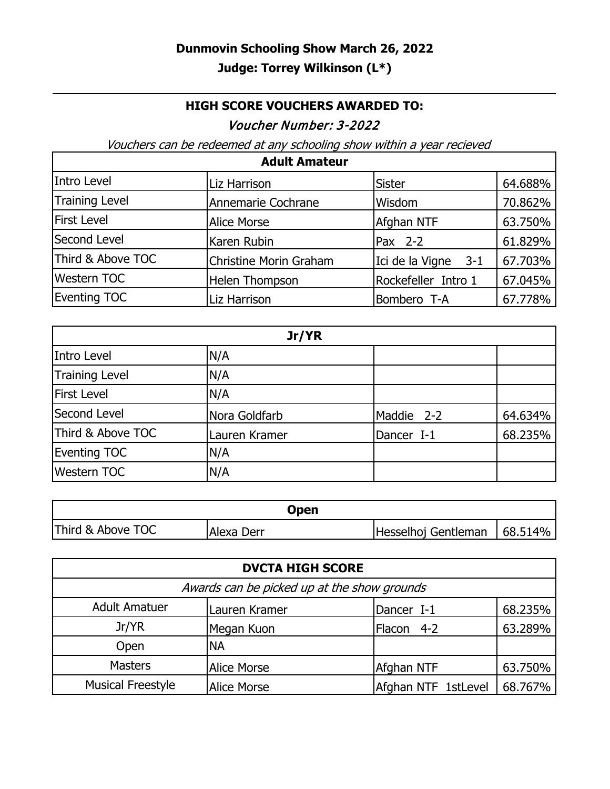## **HIGH SCORE VOUCHERS AWARDED TO:**

## Voucher Number: 3-2022

Vouchers can be redeemed at any schooling show within a year recieved

| <b>Adult Amateur</b> |                        |                     |         |
|----------------------|------------------------|---------------------|---------|
| Intro Level          | Liz Harrison           | <b>Sister</b>       | 64.688% |
| Training Level       | Annemarie Cochrane     | Wisdom              | 70.862% |
| <b>First Level</b>   | <b>Alice Morse</b>     | Afghan NTF          | 63.750% |
| Second Level         | Karen Rubin            | $Pax$ 2-2           | 61.829% |
| Third & Above TOC    | Christine Morin Graham | Ici de la Vigne 3-1 | 67.703% |
| <b>Western TOC</b>   | Helen Thompson         | Rockefeller Intro 1 | 67.045% |
| <b>Eventing TOC</b>  | Liz Harrison           | Bombero T-A         | 67.778% |

| Jr/YR                 |               |            |         |
|-----------------------|---------------|------------|---------|
| Intro Level           | N/A           |            |         |
| <b>Training Level</b> | N/A           |            |         |
| <b>First Level</b>    | N/A           |            |         |
| Second Level          | Nora Goldfarb | Maddie 2-2 | 64.634% |
| Third & Above TOC     | Lauren Kramer | Dancer I-1 | 68.235% |
| <b>Eventing TOC</b>   | N/A           |            |         |
| <b>Western TOC</b>    | N/A           |            |         |

| Open              |            |                     |          |
|-------------------|------------|---------------------|----------|
| Third & Above TOC | Alexa Derr | Hesselhoj Gentleman | 168.514% |

| <b>DVCTA HIGH SCORE</b>                     |                    |                     |         |
|---------------------------------------------|--------------------|---------------------|---------|
| Awards can be picked up at the show grounds |                    |                     |         |
| <b>Adult Amatuer</b>                        | Lauren Kramer      | Dancer I-1          | 68.235% |
| Jr/YR                                       | Megan Kuon         | Flacon 4-2          | 63.289% |
| Open                                        | <b>NA</b>          |                     |         |
| <b>Masters</b>                              | <b>Alice Morse</b> | Afghan NTF          | 63.750% |
| <b>Musical Freestyle</b>                    | <b>Alice Morse</b> | Afghan NTF 1stLevel | 68.767% |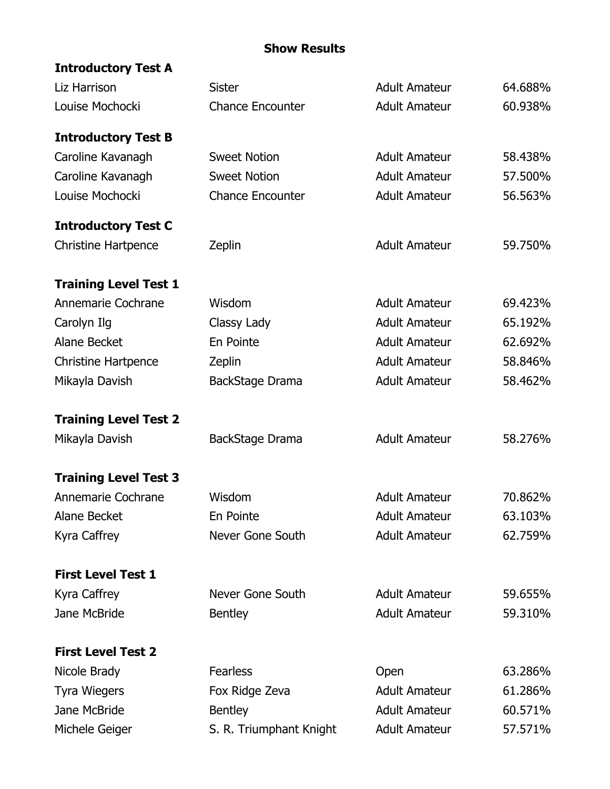## **Show Results**

| <b>Introductory Test A</b>          |                                  |                              |                    |
|-------------------------------------|----------------------------------|------------------------------|--------------------|
| Liz Harrison                        | <b>Sister</b>                    | <b>Adult Amateur</b>         | 64.688%            |
| Louise Mochocki                     | <b>Chance Encounter</b>          | <b>Adult Amateur</b>         | 60.938%            |
| <b>Introductory Test B</b>          |                                  |                              |                    |
| Caroline Kavanagh                   | <b>Sweet Notion</b>              | <b>Adult Amateur</b>         | 58.438%            |
| Caroline Kavanagh                   | <b>Sweet Notion</b>              | <b>Adult Amateur</b>         | 57.500%            |
| Louise Mochocki                     | <b>Chance Encounter</b>          | <b>Adult Amateur</b>         | 56.563%            |
| <b>Introductory Test C</b>          |                                  |                              |                    |
| <b>Christine Hartpence</b>          | Zeplin                           | <b>Adult Amateur</b>         | 59.750%            |
| <b>Training Level Test 1</b>        |                                  |                              |                    |
| Annemarie Cochrane                  | Wisdom                           | <b>Adult Amateur</b>         | 69.423%            |
| Carolyn Ilg                         | Classy Lady                      | <b>Adult Amateur</b>         | 65.192%            |
| Alane Becket                        | En Pointe                        | <b>Adult Amateur</b>         | 62.692%            |
| <b>Christine Hartpence</b>          | Zeplin                           | <b>Adult Amateur</b>         | 58.846%            |
| Mikayla Davish                      | BackStage Drama                  | <b>Adult Amateur</b>         | 58.462%            |
| <b>Training Level Test 2</b>        |                                  |                              |                    |
| Mikayla Davish                      | BackStage Drama                  | <b>Adult Amateur</b>         | 58.276%            |
| <b>Training Level Test 3</b>        |                                  |                              |                    |
|                                     |                                  |                              |                    |
| Annemarie Cochrane                  | Wisdom                           | <b>Adult Amateur</b>         | 70.862%            |
| <b>Alane Becket</b>                 | En Pointe                        | <b>Adult Amateur</b>         | 63.103%            |
| Kyra Caffrey                        | Never Gone South                 | <b>Adult Amateur</b>         | 62.759%            |
| <b>First Level Test 1</b>           |                                  |                              |                    |
|                                     | Never Gone South                 | <b>Adult Amateur</b>         | 59.655%            |
| Kyra Caffrey<br>Jane McBride        | <b>Bentley</b>                   | <b>Adult Amateur</b>         | 59.310%            |
|                                     |                                  |                              |                    |
| <b>First Level Test 2</b>           | <b>Fearless</b>                  |                              |                    |
| Nicole Brady                        |                                  | Open<br><b>Adult Amateur</b> | 63.286%<br>61.286% |
| <b>Tyra Wiegers</b><br>Jane McBride | Fox Ridge Zeva<br><b>Bentley</b> | <b>Adult Amateur</b>         | 60.571%            |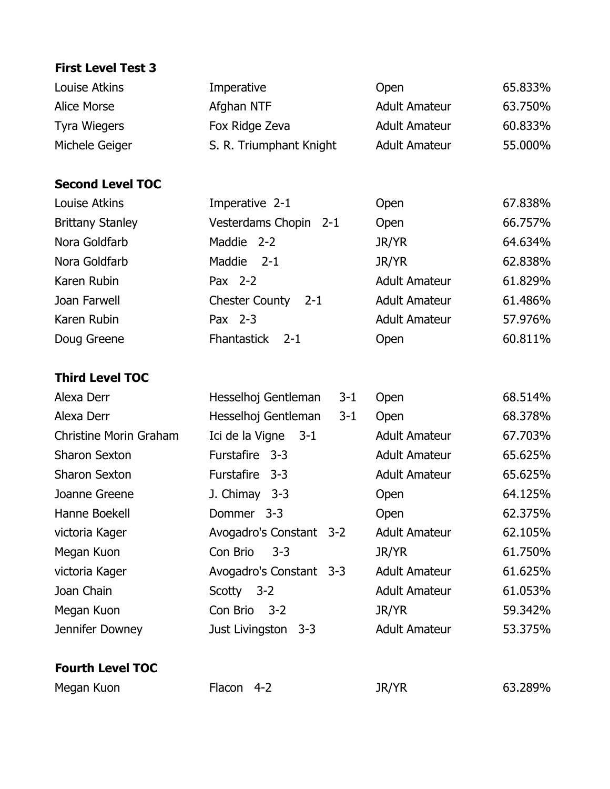## **First Level Test 3**

| Louise Atkins                 | Imperative                       | Open                 | 65.833% |
|-------------------------------|----------------------------------|----------------------|---------|
| <b>Alice Morse</b>            | Afghan NTF                       | <b>Adult Amateur</b> | 63.750% |
| <b>Tyra Wiegers</b>           | Fox Ridge Zeva                   | <b>Adult Amateur</b> | 60.833% |
| Michele Geiger                | S. R. Triumphant Knight          | <b>Adult Amateur</b> | 55.000% |
|                               |                                  |                      |         |
| <b>Second Level TOC</b>       |                                  |                      |         |
| Louise Atkins                 | Imperative 2-1                   | Open                 | 67.838% |
| <b>Brittany Stanley</b>       | Vesterdams Chopin 2-1            | Open                 | 66.757% |
| Nora Goldfarb                 | Maddie<br>$2 - 2$                | <b>JR/YR</b>         | 64.634% |
| Nora Goldfarb                 | Maddie<br>$2 - 1$                | JR/YR                | 62.838% |
| Karen Rubin                   | Pax 2-2                          | <b>Adult Amateur</b> | 61.829% |
| Joan Farwell                  | <b>Chester County</b><br>$2 - 1$ | <b>Adult Amateur</b> | 61.486% |
| Karen Rubin                   | Pax 2-3                          | <b>Adult Amateur</b> | 57.976% |
| Doug Greene                   | Fhantastick<br>$2 - 1$           | Open                 | 60.811% |
|                               |                                  |                      |         |
| <b>Third Level TOC</b>        |                                  |                      |         |
| Alexa Derr                    | Hesselhoj Gentleman<br>$3 - 1$   | Open                 | 68.514% |
| Alexa Derr                    | Hesselhoj Gentleman<br>$3 - 1$   | Open                 | 68.378% |
| <b>Christine Morin Graham</b> | Ici de la Vigne 3-1              | <b>Adult Amateur</b> | 67.703% |
| <b>Sharon Sexton</b>          | Furstafire 3-3                   | <b>Adult Amateur</b> | 65.625% |
| <b>Sharon Sexton</b>          | <b>Furstafire</b><br>$3 - 3$     | <b>Adult Amateur</b> | 65.625% |
| Joanne Greene                 | J. Chimay 3-3                    | Open                 | 64.125% |
| Hanne Boekell                 | $3 - 3$<br>Dommer                | Open                 | 62.375% |
| victoria Kager                | Avogadro's Constant 3-2          | <b>Adult Amateur</b> | 62.105% |
| Megan Kuon                    | Con Brio<br>$3 - 3$              | JR/YR                | 61.750% |
| victoria Kager                | Avogadro's Constant 3-3          | <b>Adult Amateur</b> | 61.625% |
| Joan Chain                    | Scotty 3-2                       | <b>Adult Amateur</b> | 61.053% |

Megan Kuon Con Brio 3-2 JR/YR 59.342% Jennifer Downey **Just Livingston 3-3** Adult Amateur 53.375%

**Fourth Level TOC**

Megan Kuon Flacon 4-2 JR/YR 63.289%